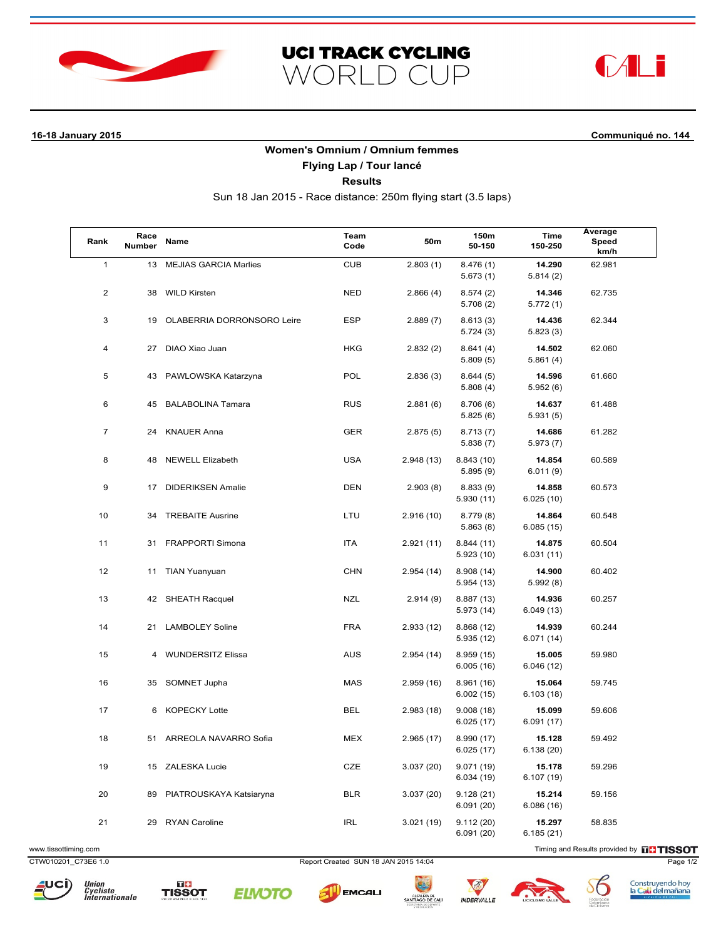





**16-18 January 2015 Communiqué no. 144**

## **Women's Omnium / Omnium femmes**

**Flying Lap / Tour lancé**

**Results**

Sun 18 Jan 2015 - Race distance: 250m flying start (3.5 laps)

| Rank           | Race<br><b>Number</b> | <b>Name</b>                  | Team<br>Code | 50m        | 150m<br>50-150           | Time<br>150-250      | Average<br>Speed<br>km/h |
|----------------|-----------------------|------------------------------|--------------|------------|--------------------------|----------------------|--------------------------|
| $\mathbf{1}$   | 13                    | <b>MEJIAS GARCIA Marlies</b> | <b>CUB</b>   | 2.803(1)   | 8.476(1)<br>5.673(1)     | 14.290<br>5.814(2)   | 62.981                   |
| $\overline{c}$ | 38                    | <b>WILD Kirsten</b>          | <b>NED</b>   | 2.866(4)   | 8.574(2)<br>5.708(2)     | 14.346<br>5.772(1)   | 62.735                   |
| 3              | 19                    | OLABERRIA DORRONSORO Leire   | <b>ESP</b>   | 2.889(7)   | 8.613(3)<br>5.724(3)     | 14.436<br>5.823(3)   | 62.344                   |
| 4              | 27                    | DIAO Xiao Juan               | <b>HKG</b>   | 2.832(2)   | 8.641(4)<br>5.809(5)     | 14.502<br>5.861(4)   | 62.060                   |
| 5              | 43                    | PAWLOWSKA Katarzyna          | <b>POL</b>   | 2.836(3)   | 8.644(5)<br>5.808(4)     | 14.596<br>5.952(6)   | 61.660                   |
| 6              | 45                    | <b>BALABOLINA Tamara</b>     | <b>RUS</b>   | 2.881(6)   | 8.706(6)<br>5.825(6)     | 14.637<br>5.931(5)   | 61.488                   |
| $\overline{7}$ | 24                    | <b>KNAUER Anna</b>           | <b>GER</b>   | 2.875(5)   | 8.713(7)<br>5.838(7)     | 14.686<br>5.973(7)   | 61.282                   |
| 8              | 48                    | <b>NEWELL Elizabeth</b>      | <b>USA</b>   | 2.948 (13) | 8.843 (10)<br>5.895 (9)  | 14.854<br>6.011(9)   | 60.589                   |
| 9              | 17                    | <b>DIDERIKSEN Amalie</b>     | <b>DEN</b>   | 2.903(8)   | 8.833(9)<br>5.930(11)    | 14.858<br>6.025(10)  | 60.573                   |
| 10             | 34                    | <b>TREBAITE Ausrine</b>      | LTU          | 2.916 (10) | 8.779(8)<br>5.863(8)     | 14.864<br>6.085(15)  | 60.548                   |
| 11             | 31                    | FRAPPORTI Simona             | <b>ITA</b>   | 2.921(11)  | 8.844(11)<br>5.923(10)   | 14.875<br>6.031(11)  | 60.504                   |
| 12             | 11                    | <b>TIAN Yuanyuan</b>         | <b>CHN</b>   | 2.954(14)  | 8.908 (14)<br>5.954(13)  | 14.900<br>5.992(8)   | 60.402                   |
| 13             | 42                    | <b>SHEATH Racquel</b>        | <b>NZL</b>   | 2.914(9)   | 8.887 (13)<br>5.973 (14) | 14.936<br>6.049 (13) | 60.257                   |
| 14             | 21                    | <b>LAMBOLEY Soline</b>       | <b>FRA</b>   | 2.933(12)  | 8.868 (12)<br>5.935(12)  | 14.939<br>6.071 (14) | 60.244                   |
| 15             | 4                     | <b>WUNDERSITZ Elissa</b>     | <b>AUS</b>   | 2.954(14)  | 8.959(15)<br>6.005(16)   | 15.005<br>6.046(12)  | 59.980                   |
| 16             | 35                    | SOMNET Jupha                 | MAS          | 2.959 (16) | 8.961 (16)<br>6.002(15)  | 15.064<br>6.103(18)  | 59.745                   |
| 17             | 6                     | <b>KOPECKY Lotte</b>         | <b>BEL</b>   | 2.983(18)  | 9.008(18)<br>6.025(17)   | 15.099<br>6.091(17)  | 59.606                   |
| 18             | 51                    | ARREOLA NAVARRO Sofia        | <b>MEX</b>   | 2.965(17)  | 8.990 (17)<br>6.025(17)  | 15.128<br>6.138(20)  | 59.492                   |
| 19             | 15                    | ZALESKA Lucie                | CZE          | 3.037(20)  | 9.071(19)<br>6.034(19)   | 15.178<br>6.107 (19) | 59.296                   |
| 20             | 89                    | PIATROUSKAYA Katsiaryna      | <b>BLR</b>   | 3.037(20)  | 9.128(21)<br>6.091(20)   | 15.214<br>6.086(16)  | 59.156                   |
| 21             | 29                    | <b>RYAN Caroline</b>         | <b>IRL</b>   | 3.021 (19) | 9.112(20)<br>6.091(20)   | 15.297<br>6.185(21)  | 58.835                   |

www.tissottiming.com **EXECUTES CONTEXT CONTEXT** Timing and Results provided by **EXECUTES CONTEXT AND RESULTS SO TIMING** 

CTW010201\_C73E6 1.0 Report Created SUN 18 JAN 2015 14:04 Page 1/2